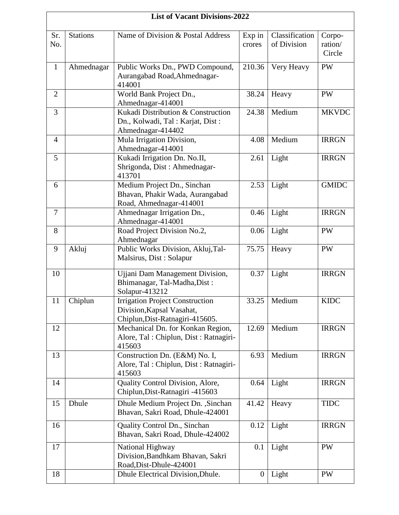|                | <b>List of Vacant Divisions-2022</b> |                                                                                                        |                  |                               |                             |  |  |
|----------------|--------------------------------------|--------------------------------------------------------------------------------------------------------|------------------|-------------------------------|-----------------------------|--|--|
| Sr.<br>No.     | <b>Stations</b>                      | Name of Division & Postal Address                                                                      | Exp in<br>crores | Classification<br>of Division | Corpo-<br>ration/<br>Circle |  |  |
| $\mathbf{1}$   | Ahmednagar                           | Public Works Dn., PWD Compound,<br>Aurangabad Road, Ahmednagar-<br>414001                              | 210.36           | Very Heavy                    | PW                          |  |  |
| $\overline{2}$ |                                      | World Bank Project Dn.,<br>Ahmednagar-414001                                                           | 38.24            | Heavy                         | <b>PW</b>                   |  |  |
| 3              |                                      | Kukadi Distribution & Construction<br>Dn., Kolwadi, Tal: Karjat, Dist:<br>Ahmednagar-414402            | 24.38            | Medium                        | <b>MKVDC</b>                |  |  |
| $\overline{4}$ |                                      | Mula Irrigation Division,<br>Ahmednagar-414001                                                         | 4.08             | Medium                        | <b>IRRGN</b>                |  |  |
| 5              |                                      | Kukadi Irrigation Dn. No.II,<br>Shrigonda, Dist : Ahmednagar-<br>413701                                | 2.61             | Light                         | <b>IRRGN</b>                |  |  |
| 6              |                                      | Medium Project Dn., Sinchan<br>Bhavan, Phakir Wada, Aurangabad<br>Road, Ahmednagar-414001              | 2.53             | Light                         | <b>GMIDC</b>                |  |  |
| $\overline{7}$ |                                      | Ahmednagar Irrigation Dn.,<br>Ahmednagar-414001                                                        | 0.46             | Light                         | <b>IRRGN</b>                |  |  |
| 8              |                                      | Road Project Division No.2,<br>Ahmednagar                                                              | 0.06             | Light                         | PW                          |  |  |
| 9              | Akluj                                | Public Works Division, Akluj, Tal-<br>Malsirus, Dist: Solapur                                          | 75.75            | Heavy                         | <b>PW</b>                   |  |  |
| 10             |                                      | Ujjani Dam Management Division,<br>Bhimanagar, Tal-Madha, Dist:<br>Solapur-413212                      | 0.37             | Light                         | <b>IRRGN</b>                |  |  |
| 11             | Chiplun                              | <b>Irrigation Project Construction</b><br>Division, Kapsal Vasahat,<br>Chiplun, Dist-Ratnagiri-415605. | 33.25            | Medium                        | <b>KIDC</b>                 |  |  |
| 12             |                                      | Mechanical Dn. for Konkan Region,<br>Alore, Tal : Chiplun, Dist : Ratnagiri-<br>415603                 | 12.69            | Medium                        | <b>IRRGN</b>                |  |  |
| 13             |                                      | Construction Dn. (E&M) No. I,<br>Alore, Tal : Chiplun, Dist : Ratnagiri-<br>415603                     | 6.93             | Medium                        | <b>IRRGN</b>                |  |  |
| 14             |                                      | Quality Control Division, Alore,<br>Chiplun, Dist-Ratnagiri -415603                                    | 0.64             | Light                         | <b>IRRGN</b>                |  |  |
| 15             | Dhule                                | Dhule Medium Project Dn., Sinchan<br>Bhavan, Sakri Road, Dhule-424001                                  | 41.42            | Heavy                         | <b>TIDC</b>                 |  |  |
| 16             |                                      | Quality Control Dn., Sinchan<br>Bhavan, Sakri Road, Dhule-424002                                       | 0.12             | Light                         | <b>IRRGN</b>                |  |  |
| 17             |                                      | National Highway<br>Division, Bandhkam Bhavan, Sakri<br>Road, Dist-Dhule-424001                        | 0.1              | Light                         | PW                          |  |  |
| 18             |                                      | Dhule Electrical Division, Dhule.                                                                      | $\overline{0}$   | Light                         | PW                          |  |  |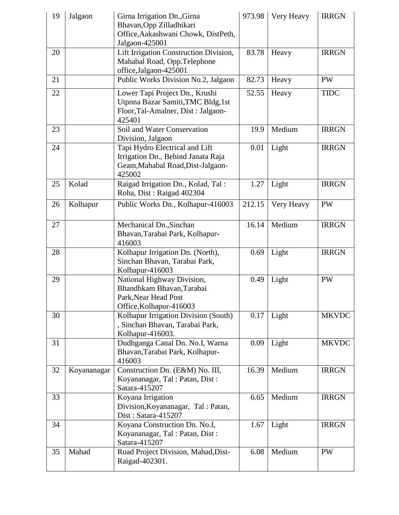| 19 | Jalgaon     | Girna Irrigation Dn., Girna<br>Bhavan, Opp Zilladhikari<br>Office, Aakashwani Chowk, DistPeth,<br>Jalgaon-425001     | 973.98 | Very Heavy | <b>IRRGN</b> |
|----|-------------|----------------------------------------------------------------------------------------------------------------------|--------|------------|--------------|
| 20 |             | Lift Irrigation Construction Division,<br>Mahabal Road, Opp.Telephone<br>office, Jalgaon-425001                      | 83.78  | Heavy      | <b>IRRGN</b> |
| 21 |             | Public Works Division No.2, Jalgaon                                                                                  | 82.73  | Heavy      | <b>PW</b>    |
| 22 |             | Lower Tapi Project Dn., Krushi<br>Utpnna Bazar Samiti, TMC Bldg, 1st<br>Floor, Tal-Amalner, Dist: Jalgaon-<br>425401 | 52.55  | Heavy      | <b>TIDC</b>  |
| 23 |             | Soil and Water Conservation<br>Division, Jalgaon                                                                     | 19.9   | Medium     | <b>IRRGN</b> |
| 24 |             | Tapi Hydro Electrical and Lift<br>Irrigation Dn., Behind Janata Raja<br>Geam, Mahabal Road, Dist-Jalgaon-<br>425002  | 0.01   | Light      | <b>IRRGN</b> |
| 25 | Kolad       | Raigad Irrigation Dn., Kolad, Tal:<br>Roha, Dist: Raigad 402304                                                      | 1.27   | Light      | <b>IRRGN</b> |
| 26 | Kolhapur    | Public Works Dn., Kolhapur-416003                                                                                    | 212.15 | Very Heavy | <b>PW</b>    |
| 27 |             | Mechanical Dn., Sinchan<br>Bhavan, Tarabai Park, Kolhapur-<br>416003                                                 | 16.14  | Medium     | <b>IRRGN</b> |
| 28 |             | Kolhapur Irrigation Dn. (North),<br>Sinchan Bhavan, Tarabai Park,<br>Kolhapur-416003                                 | 0.69   | Light      | <b>IRRGN</b> |
| 29 |             | National Highway Division,<br>Bhandhkam Bhavan, Tarabai<br>Park, Near Head Post<br>Office, Kolhapur-416003           | 0.49   | Light      | <b>PW</b>    |
| 30 |             | Kolhapur Irrigation Division (South)<br>, Sinchan Bhavan, Tarabai Park,<br>Kolhapur-416003.                          | 0.17   | Light      | <b>MKVDC</b> |
| 31 |             | Dudhganga Canal Dn. No.I, Warna<br>Bhavan, Tarabai Park, Kolhapur-<br>416003                                         | 0.09   | Light      | <b>MKVDC</b> |
| 32 | Koyananagar | Construction Dn. (E&M) No. III,<br>Koyananagar, Tal: Patan, Dist:<br>Satara-415207                                   | 16.39  | Medium     | <b>IRRGN</b> |
| 33 |             | Koyana Irrigation<br>Division, Koyananagar, Tal: Patan,<br>Dist: Satara-415207                                       | 6.65   | Medium     | <b>IRRGN</b> |
| 34 |             | Koyana Construction Dn. No.I,<br>Koyananagar, Tal: Patan, Dist:<br>Satara-415207                                     | 1.67   | Light      | <b>IRRGN</b> |
| 35 | Mahad       | Road Project Division, Mahad, Dist-<br>Raigad-402301.                                                                | 6.08   | Medium     | <b>PW</b>    |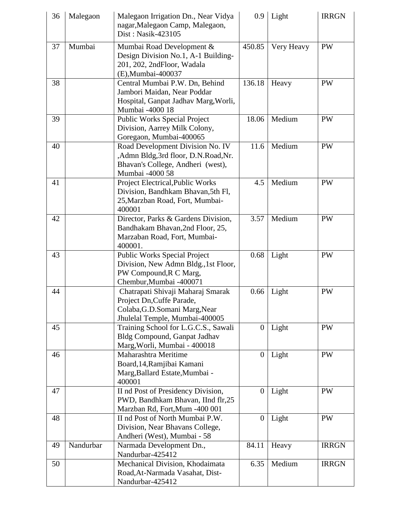| 36 | Malegaon  | Malegaon Irrigation Dn., Near Vidya<br>nagar, Malegaon Camp, Malegaon,<br>Dist: Nasik-423105                                       | 0.9              | Light      | <b>IRRGN</b> |
|----|-----------|------------------------------------------------------------------------------------------------------------------------------------|------------------|------------|--------------|
| 37 | Mumbai    | Mumbai Road Development &<br>Design Division No.1, A-1 Building-<br>201, 202, 2ndFloor, Wadala<br>(E), Mumbai-400037               | 450.85           | Very Heavy | PW           |
| 38 |           | Central Mumbai P.W. Dn, Behind<br>Jambori Maidan, Near Poddar<br>Hospital, Ganpat Jadhav Marg, Worli,<br>Mumbai -4000 18           | 136.18           | Heavy      | PW           |
| 39 |           | <b>Public Works Special Project</b><br>Division, Aarrey Milk Colony,<br>Goregaon, Mumbai-400065                                    | 18.06            | Medium     | <b>PW</b>    |
| 40 |           | Road Development Division No. IV<br>,Admn Bldg,3rd floor, D.N.Road,Nr.<br>Bhavan's College, Andheri (west),<br>Mumbai -4000 58     | 11.6             | Medium     | <b>PW</b>    |
| 41 |           | Project Electrical, Public Works<br>Division, Bandhkam Bhavan, 5th Fl,<br>25, Marzban Road, Fort, Mumbai-<br>400001                | 4.5              | Medium     | PW           |
| 42 |           | Director, Parks & Gardens Division,<br>Bandhakam Bhavan, 2nd Floor, 25,<br>Marzaban Road, Fort, Mumbai-<br>400001.                 | 3.57             | Medium     | PW           |
| 43 |           | <b>Public Works Special Project</b><br>Division, New Admn Bldg., 1st Floor,<br>PW Compound, R C Marg,<br>Chembur, Mumbai -400071   | 0.68             | Light      | PW           |
| 44 |           | Chatrapati Shivaji Maharaj Smarak<br>Project Dn, Cuffe Parade,<br>Colaba, G.D. Somani Marg, Near<br>Jhulelal Temple, Mumbai-400005 | 0.66             | Light      | <b>PW</b>    |
| 45 |           | Training School for L.G.C.S., Sawali<br><b>Bldg Compound, Ganpat Jadhav</b><br>Marg, Worli, Mumbai - 400018                        | $\boldsymbol{0}$ | Light      | PW           |
| 46 |           | Maharashtra Meritime<br>Board, 14, Ramjibai Kamani<br>Marg, Ballard Estate, Mumbai -<br>400001                                     | $\boldsymbol{0}$ | Light      | PW           |
| 47 |           | II nd Post of Presidency Division,<br>PWD, Bandhkam Bhavan, IInd flr,25<br>Marzban Rd, Fort, Mum -400 001                          | $\boldsymbol{0}$ | Light      | PW           |
| 48 |           | II nd Post of North Mumbai P.W.<br>Division, Near Bhavans College,<br>Andheri (West), Mumbai - 58                                  | $\boldsymbol{0}$ | Light      | PW           |
| 49 | Nandurbar | Narmada Development Dn.,<br>Nandurbar-425412                                                                                       | 84.11            | Heavy      | <b>IRRGN</b> |
| 50 |           | Mechanical Division, Khodaimata<br>Road, At-Narmada Vasahat, Dist-<br>Nandurbar-425412                                             | 6.35             | Medium     | <b>IRRGN</b> |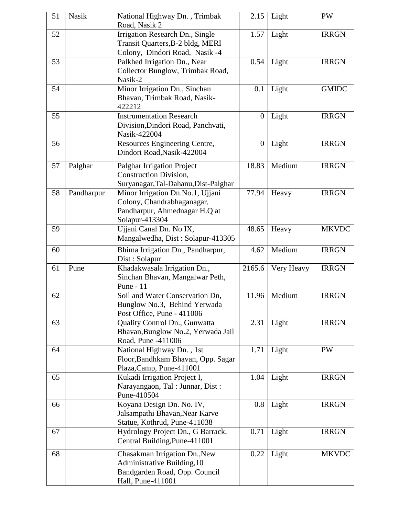| 51 | <b>Nasik</b> | National Highway Dn., Trimbak<br>Road, Nasik 2                                                                     | 2.15           | Light      | <b>PW</b>    |
|----|--------------|--------------------------------------------------------------------------------------------------------------------|----------------|------------|--------------|
| 52 |              | Irrigation Research Dn., Single<br>Transit Quarters, B-2 bldg, MERI<br>Colony, Dindori Road, Nasik -4              | 1.57           | Light      | <b>IRRGN</b> |
| 53 |              | Palkhed Irrigation Dn., Near<br>Collector Bunglow, Trimbak Road,<br>Nasik-2                                        | 0.54           | Light      | <b>IRRGN</b> |
| 54 |              | Minor Irrigation Dn., Sinchan<br>Bhavan, Trimbak Road, Nasik-<br>422212                                            | 0.1            | Light      | <b>GMIDC</b> |
| 55 |              | <b>Instrumentation Research</b><br>Division, Dindori Road, Panchvati,<br>Nasik-422004                              | $\overline{0}$ | Light      | <b>IRRGN</b> |
| 56 |              | Resources Engineering Centre,<br>Dindori Road, Nasik-422004                                                        | $\overline{0}$ | Light      | <b>IRRGN</b> |
| 57 | Palghar      | <b>Palghar Irrigation Project</b><br><b>Construction Division,</b><br>Suryanagar, Tal-Dahanu, Dist-Palghar         | 18.83          | Medium     | <b>IRRGN</b> |
| 58 | Pandharpur   | Minor Irrigation Dn.No.1, Ujjani<br>Colony, Chandrabhaganagar,<br>Pandharpur, Ahmednagar H.Q at<br>Solapur-413304  | 77.94          | Heavy      | <b>IRRGN</b> |
| 59 |              | Ujjani Canal Dn. No IX,<br>Mangalwedha, Dist: Solapur-413305                                                       | 48.65          | Heavy      | <b>MKVDC</b> |
| 60 |              | Bhima Irrigation Dn., Pandharpur,<br>Dist: Solapur                                                                 | 4.62           | Medium     | <b>IRRGN</b> |
| 61 | Pune         | Khadakwasala Irrigation Dn.,<br>Sinchan Bhavan, Mangalwar Peth,<br>Pune - 11                                       | 2165.6         | Very Heavy | <b>IRRGN</b> |
| 62 |              | Soil and Water Conservation Dn,<br>Bunglow No.3, Behind Yerwada<br>Post Office, Pune - 411006                      | 11.96          | Medium     | <b>IRRGN</b> |
| 63 |              | Quality Control Dn., Gunwatta<br>Bhavan, Bunglow No.2, Yerwada Jail<br>Road, Pune -411006                          | 2.31           | Light      | <b>IRRGN</b> |
| 64 |              | National Highway Dn., 1st<br>Floor, Bandhkam Bhavan, Opp. Sagar<br>Plaza, Camp, Pune-411001                        | 1.71           | Light      | <b>PW</b>    |
| 65 |              | Kukadi Irrigation Project I,<br>Narayangaon, Tal: Junnar, Dist:<br>Pune-410504                                     | 1.04           | Light      | <b>IRRGN</b> |
| 66 |              | Koyana Design Dn. No. IV,<br>Jalsampathi Bhavan, Near Karve<br>Statue, Kothrud, Pune-411038                        | 0.8            | Light      | <b>IRRGN</b> |
| 67 |              | Hydrology Project Dn., G Barrack,<br>Central Building, Pune-411001                                                 | 0.71           | Light      | <b>IRRGN</b> |
| 68 |              | Chasakman Irrigation Dn., New<br>Administrative Building, 10<br>Bandgarden Road, Opp. Council<br>Hall, Pune-411001 | 0.22           | Light      | <b>MKVDC</b> |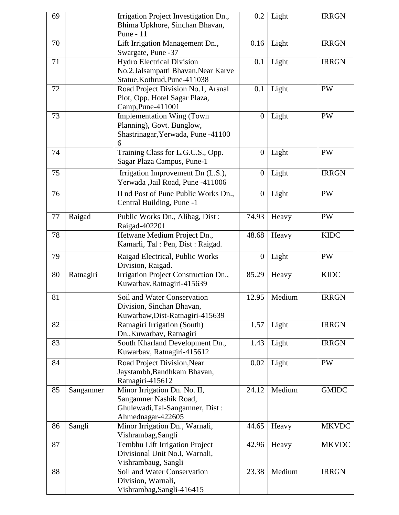| 69 |           | Irrigation Project Investigation Dn.,<br>Bhima Upkhore, Sinchan Bhavan,<br>Pune - 11                           | 0.2              | Light  | <b>IRRGN</b> |
|----|-----------|----------------------------------------------------------------------------------------------------------------|------------------|--------|--------------|
| 70 |           | Lift Irrigation Management Dn.,<br>Swargate, Pune -37                                                          | 0.16             | Light  | <b>IRRGN</b> |
| 71 |           | <b>Hydro Electrical Division</b><br>No.2, Jalsampatti Bhavan, Near Karve<br>Statue, Kothrud, Pune-411038       | 0.1              | Light  | <b>IRRGN</b> |
| 72 |           | Road Project Division No.1, Arsnal<br>Plot, Opp. Hotel Sagar Plaza,<br>Camp, Pune-411001                       | 0.1              | Light  | PW           |
| 73 |           | <b>Implementation Wing (Town</b><br>Planning), Govt. Bunglow,<br>Shastrinagar, Yerwada, Pune -41100<br>6       | $\boldsymbol{0}$ | Light  | <b>PW</b>    |
| 74 |           | Training Class for L.G.C.S., Opp.<br>Sagar Plaza Campus, Pune-1                                                | $\overline{0}$   | Light  | <b>PW</b>    |
| 75 |           | Irrigation Improvement Dn (L.S.),<br>Yerwada ,Jail Road, Pune -411006                                          | $\overline{0}$   | Light  | <b>IRRGN</b> |
| 76 |           | II nd Post of Pune Public Works Dn.,<br>Central Building, Pune -1                                              | $\boldsymbol{0}$ | Light  | <b>PW</b>    |
| 77 | Raigad    | Public Works Dn., Alibag, Dist:<br>Raigad-402201                                                               | 74.93            | Heavy  | PW           |
| 78 |           | Hetwane Medium Project Dn.,<br>Kamarli, Tal: Pen, Dist: Raigad.                                                | 48.68            | Heavy  | <b>KIDC</b>  |
| 79 |           | Raigad Electrical, Public Works<br>Division, Raigad.                                                           | $\boldsymbol{0}$ | Light  | <b>PW</b>    |
| 80 | Ratnagiri | Irrigation Project Construction Dn.,<br>Kuwarbav, Ratnagiri-415639                                             | 85.29            | Heavy  | <b>KIDC</b>  |
| 81 |           | Soil and Water Conservation<br>Division, Sinchan Bhavan,<br>Kuwarbaw, Dist-Ratnagiri-415639                    | 12.95            | Medium | <b>IRRGN</b> |
| 82 |           | Ratnagiri Irrigation (South)<br>Dn., Kuwarbav, Ratnagiri                                                       | 1.57             | Light  | <b>IRRGN</b> |
| 83 |           | South Kharland Development Dn.,<br>Kuwarbav, Ratnagiri-415612                                                  | 1.43             | Light  | <b>IRRGN</b> |
| 84 |           | Road Project Division, Near<br>Jaystambh, Bandhkam Bhavan,<br>Ratnagiri-415612                                 | 0.02             | Light  | <b>PW</b>    |
| 85 | Sangamner | Minor Irrigation Dn. No. II,<br>Sangamner Nashik Road,<br>Ghulewadi, Tal-Sangamner, Dist:<br>Ahmednagar-422605 | 24.12            | Medium | <b>GMIDC</b> |
| 86 | Sangli    | Minor Irrigation Dn., Warnali,<br>Vishrambag, Sangli                                                           | 44.65            | Heavy  | <b>MKVDC</b> |
| 87 |           | Tembhu Lift Irrigation Project<br>Divisional Unit No.I, Warnali,<br>Vishrambaug, Sangli                        | 42.96            | Heavy  | <b>MKVDC</b> |
| 88 |           | Soil and Water Conservation<br>Division, Warnali,<br>Vishrambag, Sangli-416415                                 | 23.38            | Medium | <b>IRRGN</b> |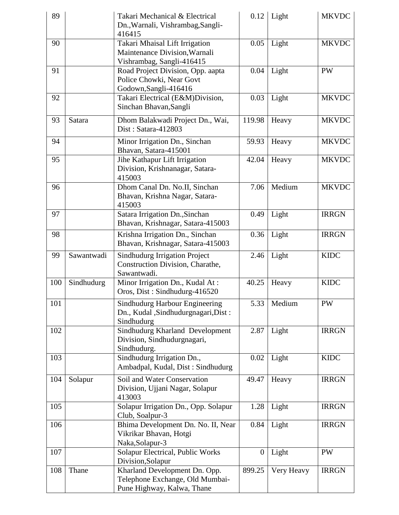| 89  |            | Takari Mechanical & Electrical<br>Dn., Warnali, Vishrambag, Sangli-<br>416415                  | 0.12             | Light         | <b>MKVDC</b> |
|-----|------------|------------------------------------------------------------------------------------------------|------------------|---------------|--------------|
| 90  |            | Takari Mhaisal Lift Irrigation<br>Maintenance Division, Warnali<br>Vishrambag, Sangli-416415   | 0.05             | Light         | <b>MKVDC</b> |
| 91  |            | Road Project Division, Opp. aapta<br>Police Chowki, Near Govt<br>Godown, Sangli-416416         | 0.04             | Light         | PW           |
| 92  |            | Takari Electrical (E&M)Division,<br>Sinchan Bhavan, Sangli                                     | 0.03             | Light         | <b>MKVDC</b> |
| 93  | Satara     | Dhom Balakwadi Project Dn., Wai,<br>Dist: Satara-412803                                        | 119.98           | Heavy         | <b>MKVDC</b> |
| 94  |            | Minor Irrigation Dn., Sinchan<br>Bhavan, Satara-415001                                         | 59.93            | Heavy         | <b>MKVDC</b> |
| 95  |            | Jihe Kathapur Lift Irrigation<br>Division, Krishnanagar, Satara-<br>415003                     | 42.04            | Heavy         | <b>MKVDC</b> |
| 96  |            | Dhom Canal Dn. No.II, Sinchan<br>Bhavan, Krishna Nagar, Satara-<br>415003                      | 7.06             | Medium        | <b>MKVDC</b> |
| 97  |            | Satara Irrigation Dn., Sinchan<br>Bhavan, Krishnagar, Satara-415003                            | 0.49             | Light         | <b>IRRGN</b> |
| 98  |            | Krishna Irrigation Dn., Sinchan<br>Bhavan, Krishnagar, Satara-415003                           | 0.36             | Light         | <b>IRRGN</b> |
| 99  | Sawantwadi | <b>Sindhudurg Irrigation Project</b><br>Construction Division, Charathe,<br>Sawantwadi.        | 2.46             | Light         | <b>KIDC</b>  |
| 100 | Sindhudurg | Minor Irrigation Dn., Kudal At:<br>Oros, Dist: Sindhudurg-416520                               | 40.25            | Heavy         | <b>KIDC</b>  |
| 101 |            | Sindhudurg Harbour Engineering<br>Dn., Kudal , Sindhudurgnagari, Dist:<br>Sindhudurg           |                  | 5.33   Medium | PW           |
| 102 |            | Sindhudurg Kharland Development<br>Division, Sindhudurgnagari,<br>Sindhudurg.                  | 2.87             | Light         | <b>IRRGN</b> |
| 103 |            | Sindhudurg Irrigation Dn.,<br>Ambadpal, Kudal, Dist: Sindhudurg                                | 0.02             | Light         | <b>KIDC</b>  |
| 104 | Solapur    | Soil and Water Conservation<br>Division, Ujjani Nagar, Solapur<br>413003                       | 49.47            | Heavy         | <b>IRRGN</b> |
| 105 |            | Solapur Irrigation Dn., Opp. Solapur<br>Club, Soalpur-3                                        | 1.28             | Light         | <b>IRRGN</b> |
| 106 |            | Bhima Development Dn. No. II, Near<br>Vikrikar Bhavan, Hotgi<br>Naka, Solapur-3                | 0.84             | Light         | <b>IRRGN</b> |
| 107 |            | Solapur Electrical, Public Works<br>Division, Solapur                                          | $\boldsymbol{0}$ | Light         | PW           |
| 108 | Thane      | Kharland Development Dn. Opp.<br>Telephone Exchange, Old Mumbai-<br>Pune Highway, Kalwa, Thane | 899.25           | Very Heavy    | <b>IRRGN</b> |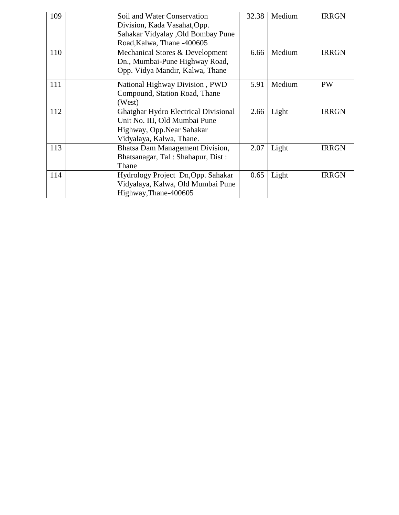| 109 | Soil and Water Conservation<br>Division, Kada Vasahat, Opp.<br>Sahakar Vidyalay , Old Bombay Pune<br>Road, Kalwa, Thane -400605       | 32.38 | Medium | <b>IRRGN</b> |
|-----|---------------------------------------------------------------------------------------------------------------------------------------|-------|--------|--------------|
| 110 | Mechanical Stores & Development<br>Dn., Mumbai-Pune Highway Road,<br>Opp. Vidya Mandir, Kalwa, Thane                                  | 6.66  | Medium | <b>IRRGN</b> |
| 111 | National Highway Division, PWD<br>Compound, Station Road, Thane<br>(West)                                                             | 5.91  | Medium | <b>PW</b>    |
| 112 | <b>Ghatghar Hydro Electrical Divisional</b><br>Unit No. III, Old Mumbai Pune<br>Highway, Opp.Near Sahakar<br>Vidyalaya, Kalwa, Thane. | 2.66  | Light  | <b>IRRGN</b> |
| 113 | Bhatsa Dam Management Division,<br>Bhatsanagar, Tal: Shahapur, Dist:<br>Thane                                                         | 2.07  | Light  | <b>IRRGN</b> |
| 114 | Hydrology Project Dn, Opp. Sahakar<br>Vidyalaya, Kalwa, Old Mumbai Pune<br>Highway, Thane-400605                                      | 0.65  | Light  | <b>IRRGN</b> |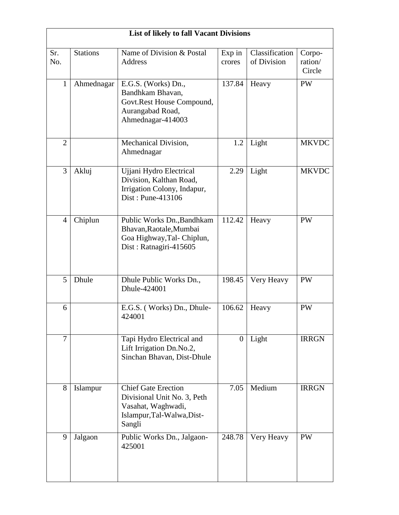|                | <b>List of likely to fall Vacant Divisions</b> |                                                                                                                         |                  |                               |                             |  |  |  |
|----------------|------------------------------------------------|-------------------------------------------------------------------------------------------------------------------------|------------------|-------------------------------|-----------------------------|--|--|--|
| Sr.<br>No.     | <b>Stations</b>                                | Name of Division & Postal<br><b>Address</b>                                                                             | Exp in<br>crores | Classification<br>of Division | Corpo-<br>ration/<br>Circle |  |  |  |
| 1              | Ahmednagar                                     | E.G.S. (Works) Dn.,<br>Bandhkam Bhavan,<br>Govt.Rest House Compound,<br>Aurangabad Road,<br>Ahmednagar-414003           | 137.84           | Heavy                         | <b>PW</b>                   |  |  |  |
| $\overline{2}$ |                                                | Mechanical Division,<br>Ahmednagar                                                                                      | 1.2              | Light                         | <b>MKVDC</b>                |  |  |  |
| 3              | Akluj                                          | Ujjani Hydro Electrical<br>Division, Kalthan Road,<br>Irrigation Colony, Indapur,<br>Dist: Pune-413106                  | 2.29             | Light                         | <b>MKVDC</b>                |  |  |  |
| $\overline{4}$ | Chiplun                                        | Public Works Dn., Bandhkam<br>Bhavan, Raotale, Mumbai<br>Goa Highway, Tal- Chiplun,<br>Dist: Ratnagiri-415605           | 112.42           | Heavy                         | <b>PW</b>                   |  |  |  |
| 5              | Dhule                                          | Dhule Public Works Dn.,<br>Dhule-424001                                                                                 | 198.45           | Very Heavy                    | <b>PW</b>                   |  |  |  |
| 6              |                                                | E.G.S. (Works) Dn., Dhule-<br>424001                                                                                    | 106.62           | Heavy                         | <b>PW</b>                   |  |  |  |
| 7              |                                                | Tapi Hydro Electrical and<br>Lift Irrigation Dn.No.2,<br>Sinchan Bhavan, Dist-Dhule                                     | $\overline{0}$   | Light                         | <b>IRRGN</b>                |  |  |  |
| 8              | Islampur                                       | <b>Chief Gate Erection</b><br>Divisional Unit No. 3, Peth<br>Vasahat, Waghwadi,<br>Islampur, Tal-Walwa, Dist-<br>Sangli | 7.05             | Medium                        | <b>IRRGN</b>                |  |  |  |
| 9              | Jalgaon                                        | Public Works Dn., Jalgaon-<br>425001                                                                                    | 248.78           | Very Heavy                    | <b>PW</b>                   |  |  |  |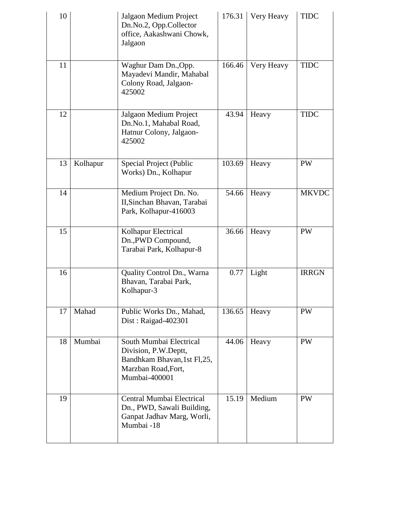| 10 |          | Jalgaon Medium Project<br>Dn.No.2, Opp.Collector<br>office, Aakashwani Chowk,<br>Jalgaon                                | 176.31 | Very Heavy | <b>TIDC</b>  |
|----|----------|-------------------------------------------------------------------------------------------------------------------------|--------|------------|--------------|
| 11 |          | Waghur Dam Dn., Opp.<br>Mayadevi Mandir, Mahabal<br>Colony Road, Jalgaon-<br>425002                                     | 166.46 | Very Heavy | <b>TIDC</b>  |
| 12 |          | Jalgaon Medium Project<br>Dn.No.1, Mahabal Road,<br>Hatnur Colony, Jalgaon-<br>425002                                   | 43.94  | Heavy      | <b>TIDC</b>  |
| 13 | Kolhapur | Special Project (Public<br>Works) Dn., Kolhapur                                                                         | 103.69 | Heavy      | <b>PW</b>    |
| 14 |          | Medium Project Dn. No.<br>II, Sinchan Bhavan, Tarabai<br>Park, Kolhapur-416003                                          | 54.66  | Heavy      | <b>MKVDC</b> |
| 15 |          | Kolhapur Electrical<br>Dn., PWD Compound,<br>Tarabai Park, Kolhapur-8                                                   | 36.66  | Heavy      | <b>PW</b>    |
| 16 |          | Quality Control Dn., Warna<br>Bhavan, Tarabai Park,<br>Kolhapur-3                                                       | 0.77   | Light      | <b>IRRGN</b> |
| 17 | Mahad    | Public Works Dn., Mahad,<br>Dist: Raigad- $402301$                                                                      | 136.65 | Heavy      | PW           |
| 18 | Mumbai   | South Mumbai Electrical<br>Division, P.W.Deptt,<br>Bandhkam Bhavan, 1st Fl, 25,<br>Marzban Road, Fort,<br>Mumbai-400001 | 44.06  | Heavy      | <b>PW</b>    |
| 19 |          | Central Mumbai Electrical<br>Dn., PWD, Sawali Building,<br>Ganpat Jadhav Marg, Worli,<br>Mumbai -18                     | 15.19  | Medium     | <b>PW</b>    |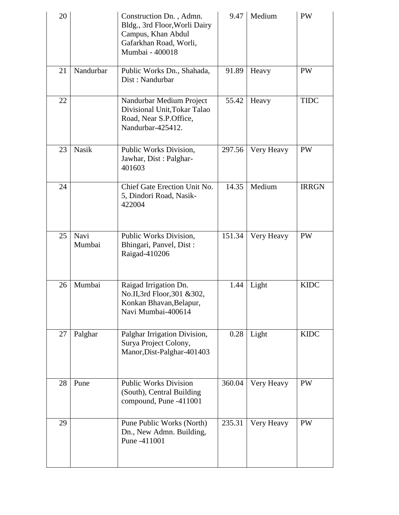| 20 |                | Construction Dn., Admn.<br>Bldg., 3rd Floor, Worli Dairy<br>Campus, Khan Abdul<br>Gafarkhan Road, Worli,<br>Mumbai - 400018 | 9.47   | Medium     | <b>PW</b>    |
|----|----------------|-----------------------------------------------------------------------------------------------------------------------------|--------|------------|--------------|
| 21 | Nandurbar      | Public Works Dn., Shahada,<br>Dist: Nandurbar                                                                               | 91.89  | Heavy      | <b>PW</b>    |
| 22 |                | Nandurbar Medium Project<br>Divisional Unit, Tokar Talao<br>Road, Near S.P.Office,<br>Nandurbar-425412.                     | 55.42  | Heavy      | <b>TIDC</b>  |
| 23 | <b>Nasik</b>   | Public Works Division,<br>Jawhar, Dist: Palghar-<br>401603                                                                  | 297.56 | Very Heavy | PW           |
| 24 |                | Chief Gate Erection Unit No.<br>5, Dindori Road, Nasik-<br>422004                                                           | 14.35  | Medium     | <b>IRRGN</b> |
| 25 | Navi<br>Mumbai | Public Works Division,<br>Bhingari, Panvel, Dist:<br>Raigad-410206                                                          | 151.34 | Very Heavy | PW           |
| 26 | Mumbai         | Raigad Irrigation Dn.<br>No.II,3rd Floor,301 &302,<br>Konkan Bhavan, Belapur,<br>Navi Mumbai-400614                         | 1.44   | Light      | <b>KIDC</b>  |
| 27 | Palghar        | Palghar Irrigation Division,<br>Surya Project Colony,<br>Manor, Dist-Palghar-401403                                         | 0.28   | Light      | <b>KIDC</b>  |
| 28 | Pune           | <b>Public Works Division</b><br>(South), Central Building<br>compound, Pune -411001                                         | 360.04 | Very Heavy | PW           |
| 29 |                | Pune Public Works (North)<br>Dn., New Admn. Building,<br>Pune -411001                                                       | 235.31 | Very Heavy | PW           |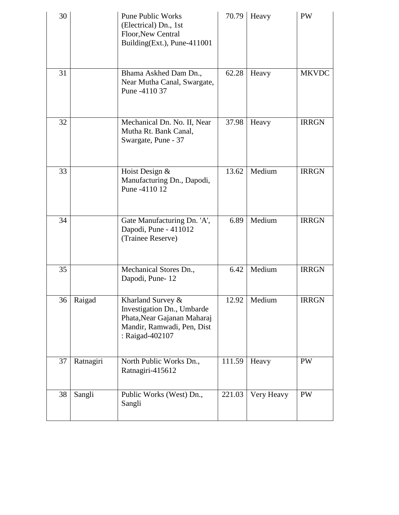| 30 |           | <b>Pune Public Works</b><br>(Electrical) Dn., 1st<br>Floor, New Central<br>Building(Ext.), Pune-411001                          | 70.79  | Heavy      | <b>PW</b>    |
|----|-----------|---------------------------------------------------------------------------------------------------------------------------------|--------|------------|--------------|
| 31 |           | Bhama Askhed Dam Dn.,<br>Near Mutha Canal, Swargate,<br>Pune -4110 37                                                           | 62.28  | Heavy      | <b>MKVDC</b> |
| 32 |           | Mechanical Dn. No. II, Near<br>Mutha Rt. Bank Canal,<br>Swargate, Pune - 37                                                     | 37.98  | Heavy      | <b>IRRGN</b> |
| 33 |           | Hoist Design &<br>Manufacturing Dn., Dapodi,<br>Pune -4110 12                                                                   | 13.62  | Medium     | <b>IRRGN</b> |
| 34 |           | Gate Manufacturing Dn. 'A',<br>Dapodi, Pune - 411012<br>(Trainee Reserve)                                                       | 6.89   | Medium     | <b>IRRGN</b> |
| 35 |           | Mechanical Stores Dn.,<br>Dapodi, Pune-12                                                                                       | 6.42   | Medium     | <b>IRRGN</b> |
| 36 | Raigad    | Kharland Survey &<br>Investigation Dn., Umbarde<br>Phata, Near Gajanan Maharaj<br>Mandir, Ramwadi, Pen, Dist<br>: Raigad-402107 | 12.92  | Medium     | <b>IRRGN</b> |
| 37 | Ratnagiri | North Public Works Dn.,<br>Ratnagiri-415612                                                                                     | 111.59 | Heavy      | <b>PW</b>    |
| 38 | Sangli    | Public Works (West) Dn.,<br>Sangli                                                                                              | 221.03 | Very Heavy | PW           |